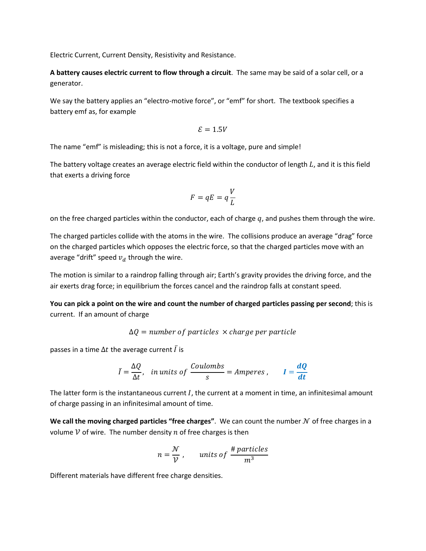Electric Current, Current Density, Resistivity and Resistance.

**A battery causes electric current to flow through a circuit**. The same may be said of a solar cell, or a generator.

We say the battery applies an "electro-motive force", or "emf" for short. The textbook specifies a battery emf as, for example

$$
\mathcal{E}=1.5V
$$

The name "emf" is misleading; this is not a force, it is a voltage, pure and simple!

The battery voltage creates an average electric field within the conductor of length  $L$ , and it is this field that exerts a driving force

$$
F = qE = q\frac{V}{L}
$$

on the free charged particles within the conductor, each of charge  $q$ , and pushes them through the wire.

The charged particles collide with the atoms in the wire. The collisions produce an average "drag" force on the charged particles which opposes the electric force, so that the charged particles move with an average "drift" speed  $v_d$  through the wire.

The motion is similar to a raindrop falling through air; Earth's gravity provides the driving force, and the air exerts drag force; in equilibrium the forces cancel and the raindrop falls at constant speed.

**You can pick a point on the wire and count the number of charged particles passing per second**; this is current. If an amount of charge

 $\Delta Q$  = number of particles  $\times$  charge per particle

passes in a time  $\Delta t$  the average current  $\bar{I}$  is

$$
\bar{I} = \frac{\Delta Q}{\Delta t}, \quad \text{in units of } \frac{\text{Coulombs}}{\text{s}} = \text{Amperes}, \qquad I = \frac{dQ}{dt}
$$

The latter form is the instantaneous current  $I$ , the current at a moment in time, an infinitesimal amount of charge passing in an infinitesimal amount of time.

**We call the moving charged particles "free charges".** We can count the number  $N$  of free charges in a volume  $\mathcal V$  of wire. The number density  $n$  of free charges is then

$$
n = \frac{\mathcal{N}}{\mathcal{V}}, \qquad \text{units of } \frac{\text{\# particles}}{m^3}
$$

Different materials have different free charge densities.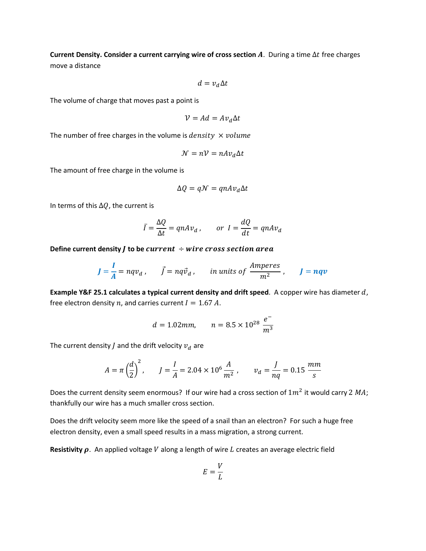**Current Density. Consider a current carrying wire of cross section**  $A$ **.** During a time  $\Delta t$  free charges move a distance

$$
d = v_d \Delta t
$$

The volume of charge that moves past a point is

$$
\mathcal{V} = Ad = Av_d \Delta t
$$

The number of free charges in the volume is *density*  $\times$  *volume* 

$$
\mathcal{N} = n\mathcal{V} = nAv_d\Delta t
$$

The amount of free charge in the volume is

$$
\Delta Q = q\mathcal{N} = qnAv_d\Delta t
$$

In terms of this  $\Delta Q$ , the current is

$$
\bar{I} = \frac{\Delta Q}{\Delta t} = qnAv_d \,, \qquad or \quad I = \frac{dQ}{dt} = qnAv_d
$$

Define current density  $J$  to be *current*  $\div$  wire cross section area

$$
J = \frac{I}{A} = nqv_d
$$
,  $\vec{J} = nq\vec{v}_d$ , in units of  $\frac{Amperes}{m^2}$ ,  $J = nqv$ 

**Example Y&F 25.1 calculates a typical current density and drift speed.** A copper wire has diameter d, free electron density *n*, and carries current  $I = 1.67 A$ .

$$
d = 1.02 \, \text{mm}, \qquad n = 8.5 \times 10^{28} \, \frac{e^-}{m^3}
$$

The current density *J* and the drift velocity  $v_d$  are

$$
A = \pi \left(\frac{d}{2}\right)^2, \qquad J = \frac{I}{A} = 2.04 \times 10^6 \frac{A}{m^2}, \qquad v_d = \frac{J}{nq} = 0.15 \frac{mm}{s}
$$

Does the current density seem enormous? If our wire had a cross section of  $1m^2$  it would carry 2 MA; thankfully our wire has a much smaller cross section.

Does the drift velocity seem more like the speed of a snail than an electron? For such a huge free electron density, even a small speed results in a mass migration, a strong current.

**Resistivity**  $\rho$ . An applied voltage V along a length of wire L creates an average electric field

$$
E=\frac{V}{L}
$$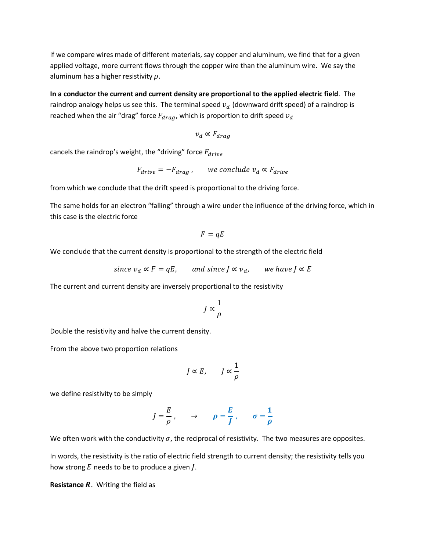If we compare wires made of different materials, say copper and aluminum, we find that for a given applied voltage, more current flows through the copper wire than the aluminum wire. We say the aluminum has a higher resistivity  $\rho$ .

**In a conductor the current and current density are proportional to the applied electric field**. The raindrop analogy helps us see this. The terminal speed  $v_d$  (downward drift speed) of a raindrop is reached when the air "drag" force  $F_{drag}$ , which is proportion to drift speed  $v_d$ 

$$
v_d \propto F_{drag}
$$

cancels the raindrop's weight, the "driving" force  $F_{drive}$ 

$$
F_{drive} = -F_{drag} ,\qquad \text{we conclude } v_d \propto F_{drive}
$$

from which we conclude that the drift speed is proportional to the driving force.

The same holds for an electron "falling" through a wire under the influence of the driving force, which in this case is the electric force

$$
F = qE
$$

We conclude that the current density is proportional to the strength of the electric field

since 
$$
v_d \propto F = qE
$$
, and since  $J \propto v_d$ , we have  $J \propto E$ 

The current and current density are inversely proportional to the resistivity

$$
J\propto\frac{1}{\rho}
$$

Double the resistivity and halve the current density.

From the above two proportion relations

$$
J \propto E, \qquad J \propto \frac{1}{\rho}
$$

we define resistivity to be simply

$$
J = \frac{E}{\rho}, \qquad \rightarrow \qquad \rho = \frac{E}{J}, \qquad \sigma = \frac{1}{\rho}
$$

We often work with the conductivity  $\sigma$ , the reciprocal of resistivity. The two measures are opposites.

In words, the resistivity is the ratio of electric field strength to current density; the resistivity tells you how strong  $E$  needs to be to produce a given  $J$ .

**Resistance R.** Writing the field as